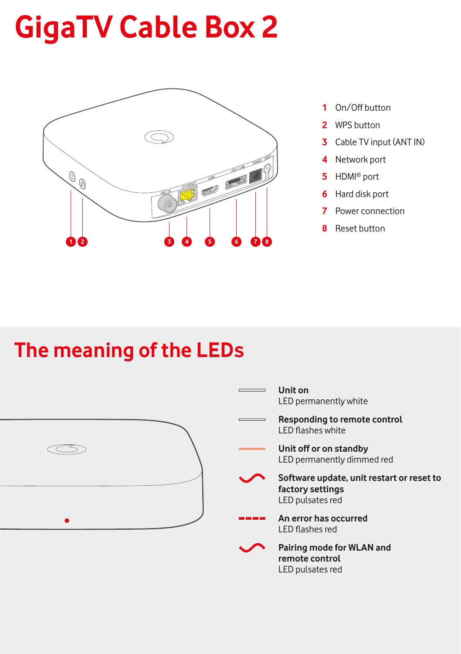## **GigaTV Cable Box 2**



- **1** On/Off button
- **2** WPS button
- **3** Cable TV input (ANT IN)
- **4** Network port
- **5** HDMI® port
- **6** Hard disk port
- **7** Power connection
- **8** Reset button

### **The meaning of the LEDs**

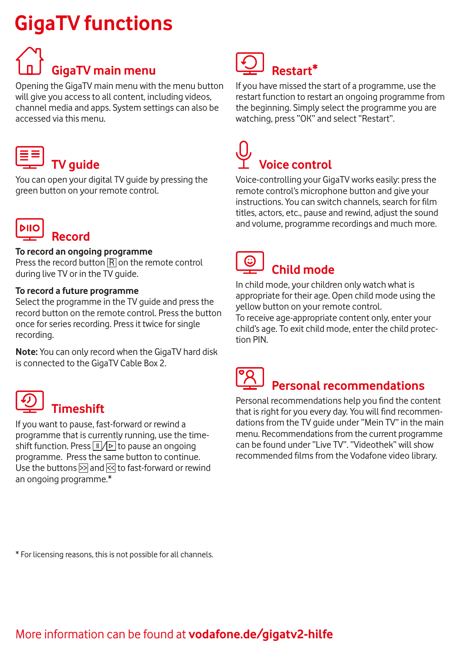### **GigaTV functions**

# **GigaTV main menu**

Opening the GigaTV main menu with the menu button will give you access to all content, including videos, channel media and apps. System settings can also be accessed via this menu.

### **TV guide**

You can open your digital TV guide by pressing the green button on your remote control.



#### **To record an ongoing programme**

Press the record button  $\overline{R}$  on the remote control during live TV or in the TV guide.

#### **To record a future programme**

Select the programme in the TV guide and press the record button on the remote control. Press the button once for series recording. Press it twice for single recording.

**Note:** You can only record when the GigaTV hard disk is connected to the GigaTV Cable Box 2.

 **Timeshift**

If you want to pause, fast-forward or rewind a programme that is currently running, use the timeshift function. Press  $\Pi$  /  $\triangleright$  to pause an ongoing programme. Press the same button to continue. Use the buttons  $\gg$  and  $\ll$  to fast-forward or rewind an ongoing programme.\*

### **Restart\***

If you have missed the start of a programme, use the restart function to restart an ongoing programme from the beginning. Simply select the programme you are watching, press "OK" and select "Restart".

# **Voice control**

Voice-controlling your GigaTV works easily: press the remote control's microphone button and give your instructions. You can switch channels, search for film titles, actors, etc., pause and rewind, adjust the sound and volume, programme recordings and much more.



#### **Child mode**

In child mode, your children only watch what is appropriate for their age. Open child mode using the yellow button on your remote control.

To receive age-appropriate content only, enter your child's age. To exit child mode, enter the child protection PIN.

## **Personal recommendations**

Personal recommendations help you find the content that is right for you every day. You will find recommendations from the TV guide under "Mein TV" in the main menu. Recommendations from the current programme can be found under "Live TV". "Videothek" will show recommended films from the Vodafone video library.

\* For licensing reasons, this is not possible for all channels.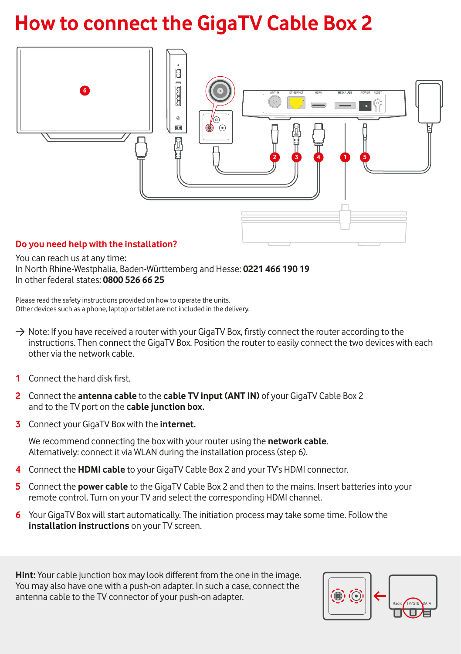### **How to connect the GigaTV Cable Box 2**



You can reach us at any time: In North Rhine-Westphalia, Baden-Württemberg and Hesse: **0221 466 190 19** In other federal states: **0800 526 66 25** 

Please read the safety instructions provided on how to operate the units. Other devices such as a phone, laptop or tablet are not included in the delivery.

- $\rightarrow$  Note: If you have received a router with your GigaTV Box, firstly connect the router according to the instructions. Then connect the GigaTV Box. Position the router to easily connect the two devices with each other via the network cable.
- **1** Connect the hard disk first.
- **2** Connect the **antenna cable** to the **cable TV input (ANT IN)** of your GigaTV Cable Box 2 and to the TV port on the **cable junction box.**
- **3** Connect your GigaTV Box with the **internet.**

We recommend connecting the box with your router using the **network cable**. Alternatively: connect it via WLAN during the installation process (step 6).

- **4** Connect the **HDMI cable** to your GigaTV Cable Box 2 and your TV's HDMI connector.
- **5** Connect the **power cable** to the GigaTV Cable Box 2 and then to the mains. Insert batteries into your remote control. Turn on your TV and select the corresponding HDMI channel.
- **6** Your GigaTV Box will start automatically. The initiation process may take some time. Follow the **installation instructions** on your TV screen.

**Hint:** Your cable junction box may look different from the one in the image. You may also have one with a push-on adapter. In such a case, connect the antenna cable to the TV connector of your push-on adapter.